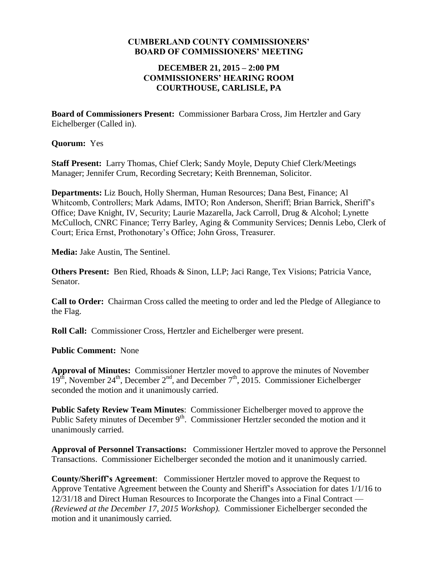#### **CUMBERLAND COUNTY COMMISSIONERS' BOARD OF COMMISSIONERS' MEETING**

#### **DECEMBER 21, 2015 – 2:00 PM COMMISSIONERS' HEARING ROOM COURTHOUSE, CARLISLE, PA**

**Board of Commissioners Present:** Commissioner Barbara Cross, Jim Hertzler and Gary Eichelberger (Called in).

#### **Quorum:** Yes

**Staff Present:** Larry Thomas, Chief Clerk; Sandy Moyle, Deputy Chief Clerk/Meetings Manager; Jennifer Crum, Recording Secretary; Keith Brenneman, Solicitor.

**Departments:** Liz Bouch, Holly Sherman, Human Resources; Dana Best, Finance; Al Whitcomb, Controllers; Mark Adams, IMTO; Ron Anderson, Sheriff; Brian Barrick, Sheriff's Office; Dave Knight, IV, Security; Laurie Mazarella, Jack Carroll, Drug & Alcohol; Lynette McCulloch, CNRC Finance; Terry Barley, Aging & Community Services; Dennis Lebo, Clerk of Court; Erica Ernst, Prothonotary's Office; John Gross, Treasurer.

**Media:** Jake Austin, The Sentinel.

**Others Present:** Ben Ried, Rhoads & Sinon, LLP; Jaci Range, Tex Visions; Patricia Vance, Senator.

**Call to Order:** Chairman Cross called the meeting to order and led the Pledge of Allegiance to the Flag.

**Roll Call:** Commissioner Cross, Hertzler and Eichelberger were present.

### **Public Comment:** None

**Approval of Minutes:** Commissioner Hertzler moved to approve the minutes of November  $19<sup>th</sup>$ , November  $24<sup>th</sup>$ , December  $2<sup>nd</sup>$ , and December  $7<sup>th</sup>$ , 2015. Commissioner Eichelberger seconded the motion and it unanimously carried.

**Public Safety Review Team Minutes**: Commissioner Eichelberger moved to approve the Public Safety minutes of December  $9<sup>th</sup>$ . Commissioner Hertzler seconded the motion and it unanimously carried.

**Approval of Personnel Transactions:** Commissioner Hertzler moved to approve the Personnel Transactions. Commissioner Eichelberger seconded the motion and it unanimously carried.

**County/Sheriff's Agreement**: Commissioner Hertzler moved to approve the Request to Approve Tentative Agreement between the County and Sheriff's Association for dates 1/1/16 to 12/31/18 and Direct Human Resources to Incorporate the Changes into a Final Contract — *(Reviewed at the December 17, 2015 Workshop).* Commissioner Eichelberger seconded the motion and it unanimously carried.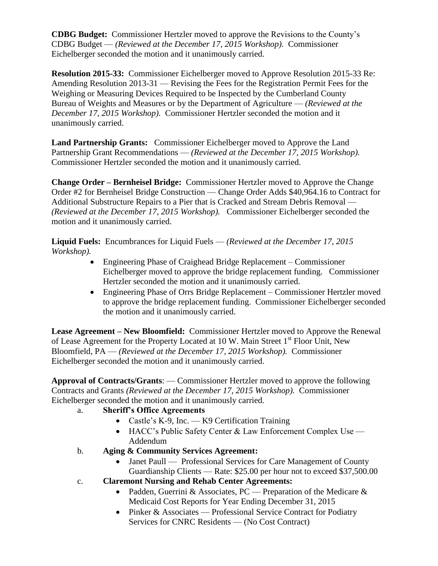**CDBG Budget:** Commissioner Hertzler moved to approve the Revisions to the County's CDBG Budget — *(Reviewed at the December 17, 2015 Workshop).* Commissioner Eichelberger seconded the motion and it unanimously carried.

**Resolution 2015-33:** Commissioner Eichelberger moved to Approve Resolution 2015-33 Re: Amending Resolution 2013-31 — Revising the Fees for the Registration Permit Fees for the Weighing or Measuring Devices Required to be Inspected by the Cumberland County Bureau of Weights and Measures or by the Department of Agriculture — *(Reviewed at the December 17, 2015 Workshop).* Commissioner Hertzler seconded the motion and it unanimously carried.

**Land Partnership Grants:** Commissioner Eichelberger moved to Approve the Land Partnership Grant Recommendations — *(Reviewed at the December 17, 2015 Workshop).*  Commissioner Hertzler seconded the motion and it unanimously carried.

**Change Order – Bernheisel Bridge:** Commissioner Hertzler moved to Approve the Change Order #2 for Bernheisel Bridge Construction — Change Order Adds \$40,964.16 to Contract for Additional Substructure Repairs to a Pier that is Cracked and Stream Debris Removal — *(Reviewed at the December 17, 2015 Workshop).* Commissioner Eichelberger seconded the motion and it unanimously carried.

**Liquid Fuels:** Encumbrances for Liquid Fuels — *(Reviewed at the December 17, 2015 Workshop).*

- Engineering Phase of Craighead Bridge Replacement Commissioner Eichelberger moved to approve the bridge replacement funding. Commissioner Hertzler seconded the motion and it unanimously carried.
- Engineering Phase of Orrs Bridge Replacement Commissioner Hertzler moved to approve the bridge replacement funding. Commissioner Eichelberger seconded the motion and it unanimously carried.

**Lease Agreement – New Bloomfield:** Commissioner Hertzler moved to Approve the Renewal of Lease Agreement for the Property Located at 10 W. Main Street 1<sup>st</sup> Floor Unit, New Bloomfield, PA — *(Reviewed at the December 17, 2015 Workshop).* Commissioner Eichelberger seconded the motion and it unanimously carried.

**Approval of Contracts/Grants**: — Commissioner Hertzler moved to approve the following Contracts and Grants *(Reviewed at the December 17, 2015 Workshop).* Commissioner Eichelberger seconded the motion and it unanimously carried.

### a. **Sheriff's Office Agreements**

- Castle's K-9, Inc. K9 Certification Training
- HACC's Public Safety Center & Law Enforcement Complex Use Addendum
- b. **Aging & Community Services Agreement:**
	- Janet Paull Professional Services for Care Management of County Guardianship Clients — Rate: \$25.00 per hour not to exceed \$37,500.00
- c. **Claremont Nursing and Rehab Center Agreements:**
	- Padden, Guerrini & Associates, PC Preparation of the Medicare  $\&$ Medicaid Cost Reports for Year Ending December 31, 2015
	- Pinker & Associates Professional Service Contract for Podiatry Services for CNRC Residents — (No Cost Contract)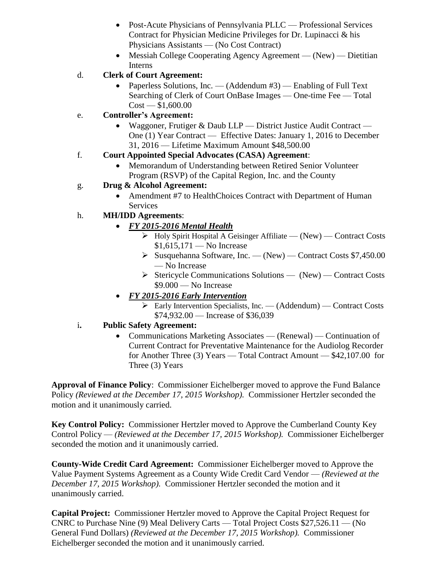- Post-Acute Physicians of Pennsylvania PLLC Professional Services Contract for Physician Medicine Privileges for Dr. Lupinacci & his Physicians Assistants — (No Cost Contract)
- Messiah College Cooperating Agency Agreement (New) Dietitian Interns

## d. **Clerk of Court Agreement:**

- Paperless Solutions, Inc. (Addendum #3) Enabling of Full Text Searching of Clerk of Court OnBase Images — One-time Fee — Total  $Cost - $1,600.00$
- e. **Controller's Agreement:**
	- Waggoner, Frutiger & Daub LLP District Justice Audit Contract One (1) Year Contract — Effective Dates: January 1, 2016 to December 31, 2016 — Lifetime Maximum Amount \$48,500.00

## f. **Court Appointed Special Advocates (CASA) Agreement**:

 Memorandum of Understanding between Retired Senior Volunteer Program (RSVP) of the Capital Region, Inc. and the County

# g. **Drug & Alcohol Agreement:**

• Amendment #7 to HealthChoices Contract with Department of Human **Services** 

# h. **MH/IDD Agreements**:

- *FY 2015-2016 Mental Health*
	- $\triangleright$  Holy Spirit Hospital A Geisinger Affiliate (New) Contract Costs  $$1,615,171$  — No Increase
	- $\triangleright$  Susquehanna Software, Inc. (New) Contract Costs \$7,450.00 — No Increase
	- $\triangleright$  Stericycle Communications Solutions (New) Contract Costs  $$9.000 - No$  Increase
- *FY 2015-2016 Early Intervention*
	- $\triangleright$  Early Intervention Specialists, Inc. (Addendum) Contract Costs \$74,932.00 — Increase of \$36,039

## i**. Public Safety Agreement:**

• Communications Marketing Associates — (Renewal) — Continuation of Current Contract for Preventative Maintenance for the Audiolog Recorder for Another Three (3) Years — Total Contract Amount — \$42,107.00 for Three (3) Years

**Approval of Finance Policy**: Commissioner Eichelberger moved to approve the Fund Balance Policy *(Reviewed at the December 17, 2015 Workshop).* Commissioner Hertzler seconded the motion and it unanimously carried.

**Key Control Policy:** Commissioner Hertzler moved to Approve the Cumberland County Key Control Policy — *(Reviewed at the December 17, 2015 Workshop).* Commissioner Eichelberger seconded the motion and it unanimously carried.

**County-Wide Credit Card Agreement:** Commissioner Eichelberger moved to Approve the Value Payment Systems Agreement as a County Wide Credit Card Vendor — *(Reviewed at the December 17, 2015 Workshop).* Commissioner Hertzler seconded the motion and it unanimously carried.

**Capital Project:** Commissioner Hertzler moved to Approve the Capital Project Request for CNRC to Purchase Nine (9) Meal Delivery Carts — Total Project Costs \$27,526.11 — (No General Fund Dollars) *(Reviewed at the December 17, 2015 Workshop).* Commissioner Eichelberger seconded the motion and it unanimously carried.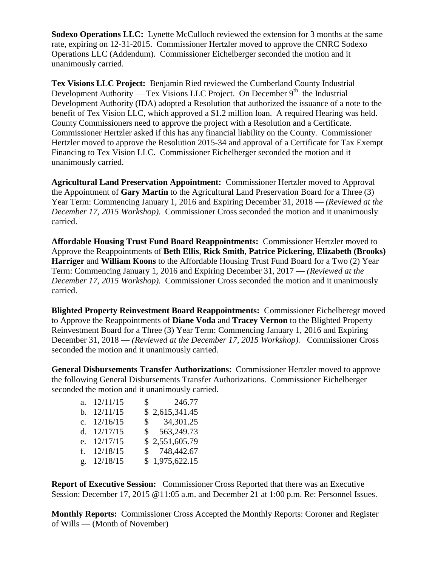**Sodexo Operations LLC:** Lynette McCulloch reviewed the extension for 3 months at the same rate, expiring on 12-31-2015. Commissioner Hertzler moved to approve the CNRC Sodexo Operations LLC (Addendum). Commissioner Eichelberger seconded the motion and it unanimously carried.

**Tex Visions LLC Project:** Benjamin Ried reviewed the Cumberland County Industrial Development Authority — Tex Visions LLC Project. On December  $9<sup>th</sup>$  the Industrial Development Authority (IDA) adopted a Resolution that authorized the issuance of a note to the benefit of Tex Vision LLC, which approved a \$1.2 million loan. A required Hearing was held. County Commissioners need to approve the project with a Resolution and a Certificate. Commissioner Hertzler asked if this has any financial liability on the County. Commissioner Hertzler moved to approve the Resolution 2015-34 and approval of a Certificate for Tax Exempt Financing to Tex Vision LLC. Commissioner Eichelberger seconded the motion and it unanimously carried.

**Agricultural Land Preservation Appointment:** Commissioner Hertzler moved to Approval the Appointment of **Gary Martin** to the Agricultural Land Preservation Board for a Three (3) Year Term: Commencing January 1, 2016 and Expiring December 31, 2018 — *(Reviewed at the December 17, 2015 Workshop).* Commissioner Cross seconded the motion and it unanimously carried.

**Affordable Housing Trust Fund Board Reappointments:** Commissioner Hertzler moved to Approve the Reappointments of **Beth Ellis**, **Rick Smith**, **Patrice Pickering**, **Elizabeth (Brooks) Harriger** and **William Koons** to the Affordable Housing Trust Fund Board for a Two (2) Year Term: Commencing January 1, 2016 and Expiring December 31, 2017 — *(Reviewed at the December 17, 2015 Workshop).* Commissioner Cross seconded the motion and it unanimously carried.

**Blighted Property Reinvestment Board Reappointments:** Commissioner Eichelberegr moved to Approve the Reappointments of **Diane Voda** and **Tracey Vernon** to the Blighted Property Reinvestment Board for a Three (3) Year Term: Commencing January 1, 2016 and Expiring December 31, 2018 — *(Reviewed at the December 17, 2015 Workshop).* Commissioner Cross seconded the motion and it unanimously carried.

**General Disbursements Transfer Authorizations**: Commissioner Hertzler moved to approve the following General Disbursements Transfer Authorizations. Commissioner Eichelberger seconded the motion and it unanimously carried.

| a. $12/11/15$ | $\frac{\$}{246.77}$    |
|---------------|------------------------|
| b. $12/11/15$ | \$2,615,341.45         |
| c. $12/16/15$ | $\frac{\$}{34,301.25}$ |
| d. $12/17/15$ | \$563,249.73           |
| e. 12/17/15   | \$2,551,605.79         |
| f. $12/18/15$ | \$748,442.67           |
| g. 12/18/15   | \$1,975,622.15         |

**Report of Executive Session:** Commissioner Cross Reported that there was an Executive Session: December 17, 2015 @11:05 a.m. and December 21 at 1:00 p.m. Re: Personnel Issues.

**Monthly Reports:** Commissioner Cross Accepted the Monthly Reports: Coroner and Register of Wills — (Month of November)